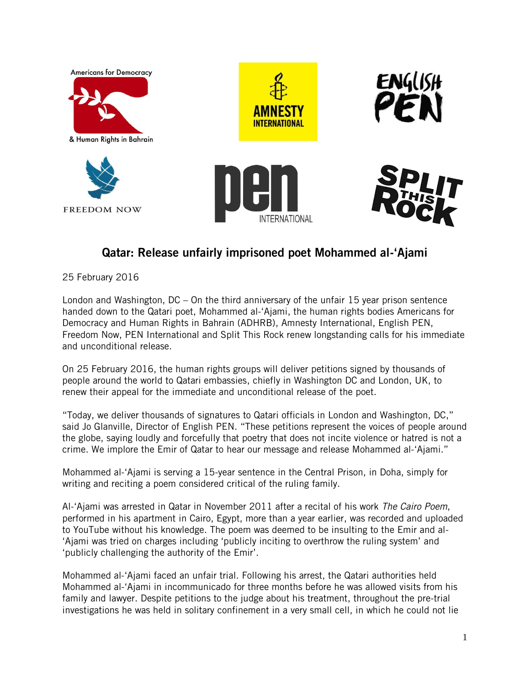

## **Qatar: Release unfairly imprisoned poet Mohammed al-'Ajami**

25 February 2016

London and Washington, DC – On the third anniversary of the unfair 15 year prison sentence handed down to the Qatari poet, Mohammed al-'Ajami, the human rights bodies Americans for Democracy and Human Rights in Bahrain (ADHRB), Amnesty International, English PEN, Freedom Now, PEN International and Split This Rock renew longstanding calls for his immediate and unconditional release.

On 25 February 2016, the human rights groups will deliver petitions signed by thousands of people around the world to Qatari embassies, chiefly in Washington DC and London, UK, to renew their appeal for the immediate and unconditional release of the poet.

"Today, we deliver thousands of signatures to Qatari officials in London and Washington, DC," said Jo Glanville, Director of English PEN. "These petitions represent the voices of people around the globe, saying loudly and forcefully that poetry that does not incite violence or hatred is not a crime. We implore the Emir of Qatar to hear our message and release Mohammed al-'Ajami."

Mohammed al-'Ajami is serving a 15-year sentence in the Central Prison, in Doha, simply for writing and reciting a poem considered critical of the ruling family.

Al-'Ajami was arrested in Qatar in November 2011 after a recital of his work *The Cairo Poem*, performed in his apartment in Cairo, Egypt, more than a year earlier, was recorded and uploaded to YouTube without his knowledge. The poem was deemed to be insulting to the Emir and al- 'Ajami was tried on charges including 'publicly inciting to overthrow the ruling system' and 'publicly challenging the authority of the Emir'.

Mohammed al-'Ajami faced an unfair trial. Following his arrest, the Qatari authorities held Mohammed al-'Ajami in incommunicado for three months before he was allowed visits from his family and lawyer. Despite petitions to the judge about his treatment, throughout the pre-trial investigations he was held in solitary confinement in a very small cell, in which he could not lie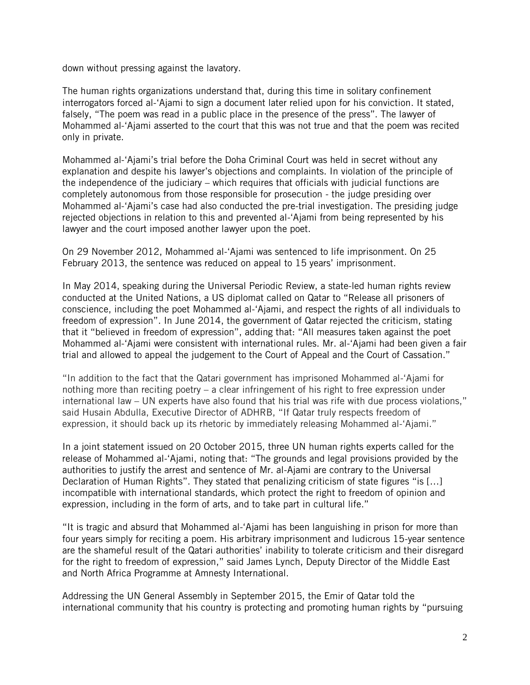down without pressing against the lavatory.

The human rights organizations understand that, during this time in solitary confinement interrogators forced al-'Ajami to sign a document later relied upon for his conviction. It stated, falsely, "The poem was read in a public place in the presence of the press". The lawyer of Mohammed al-'Ajami asserted to the court that this was not true and that the poem was recited only in private.

Mohammed al-'Ajami's trial before the Doha Criminal Court was held in secret without any explanation and despite his lawyer's objections and complaints. In violation of the principle of the independence of the judiciary – which requires that officials with judicial functions are completely autonomous from those responsible for prosecution - the judge presiding over Mohammed al-'Ajami's case had also conducted the pre-trial investigation. The presiding judge rejected objections in relation to this and prevented al-'Ajami from being represented by his lawyer and the court imposed another lawyer upon the poet.

On 29 November 2012, Mohammed al-'Ajami was sentenced to life imprisonment. On 25 February 2013, the sentence was reduced on appeal to 15 years' imprisonment.

In May 2014, speaking during the Universal Periodic Review, a state-led human rights review conducted at the United Nations, a US diplomat called on Qatar to "Release all prisoners of conscience, including the poet Mohammed al-'Ajami, and respect the rights of all individuals to freedom of expression". In June 2014, the government of Qatar rejected the criticism, stating that it "believed in freedom of expression", adding that: "All measures taken against the poet Mohammed al-'Ajami were consistent with international rules. Mr. al-'Ajami had been given a fair trial and allowed to appeal the judgement to the Court of Appeal and the Court of Cassation."

"In addition to the fact that the Qatari government has imprisoned Mohammed al-'Ajami for nothing more than reciting poetry – a clear infringement of his right to free expression under international law – UN experts have also found that his trial was rife with due process violations," said Husain Abdulla, Executive Director of ADHRB, "If Qatar truly respects freedom of expression, it should back up its rhetoric by immediately releasing Mohammed al-'Ajami."

In a joint statement issued on 20 October 2015, three UN human rights experts called for the release of Mohammed al-'Ajami, noting that: "The grounds and legal provisions provided by the authorities to justify the arrest and sentence of Mr. al-Ajami are contrary to the Universal Declaration of Human Rights". They stated that penalizing criticism of state figures "is [...] incompatible with international standards, which protect the right to freedom of opinion and expression, including in the form of arts, and to take part in cultural life."

"It is tragic and absurd that Mohammed al-'Ajami has been languishing in prison for more than four years simply for reciting a poem. His arbitrary imprisonment and ludicrous 15-year sentence are the shameful result of the Qatari authorities' inability to tolerate criticism and their disregard for the right to freedom of expression," said James Lynch, Deputy Director of the Middle East and North Africa Programme at Amnesty International.

Addressing the UN General Assembly in September 2015, the Emir of Qatar told the international community that his country is protecting and promoting human rights by "pursuing